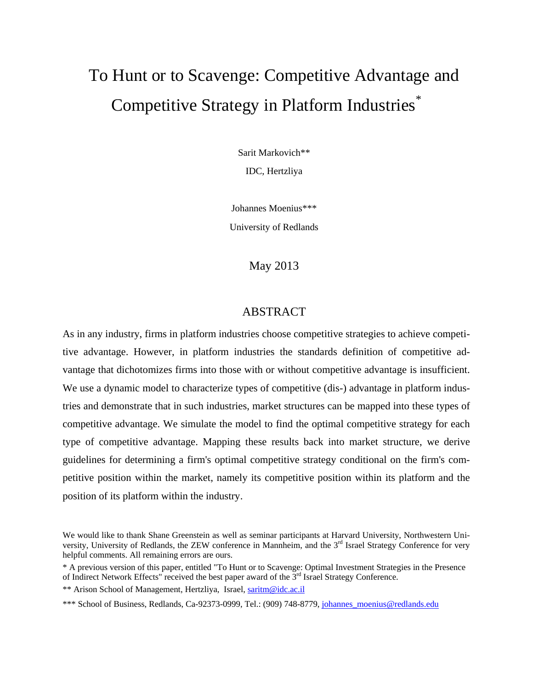# To Hunt or to Scavenge: Competitive Advantage and Competitive Strategy in Platform Industries\*

Sarit Markovich\*\*

IDC, Hertzliya

Johannes Moenius\*\*\*

University of Redlands

# May 2013

# ABSTRACT

As in any industry, firms in platform industries choose competitive strategies to achieve competitive advantage. However, in platform industries the standards definition of competitive advantage that dichotomizes firms into those with or without competitive advantage is insufficient. We use a dynamic model to characterize types of competitive (dis-) advantage in platform industries and demonstrate that in such industries, market structures can be mapped into these types of competitive advantage. We simulate the model to find the optimal competitive strategy for each type of competitive advantage. Mapping these results back into market structure, we derive guidelines for determining a firm's optimal competitive strategy conditional on the firm's competitive position within the market, namely its competitive position within its platform and the position of its platform within the industry.

We would like to thank Shane Greenstein as well as seminar participants at Harvard University, Northwestern University, University of Redlands, the ZEW conference in Mannheim, and the 3<sup>rd</sup> Israel Strategy Conference for very helpful comments. All remaining errors are ours.

<sup>\*</sup> A previous version of this paper, entitled "To Hunt or to Scavenge: Optimal Investment Strategies in the Presence of Indirect Network Effects" received the best paper award of the  $3<sup>rd</sup>$  Israel Strategy Conference. \*\* Arison School of Management, Hertzliya, Israel[, saritm@idc.ac.il](mailto:saritm@idc.ac.il)

<sup>\*\*\*</sup> School of Business, Redlands, Ca-92373-0999, Tel.: (909) 748-8779, [johannes\\_moenius@redlands.edu](mailto:johannes_moenius@redlands.edu)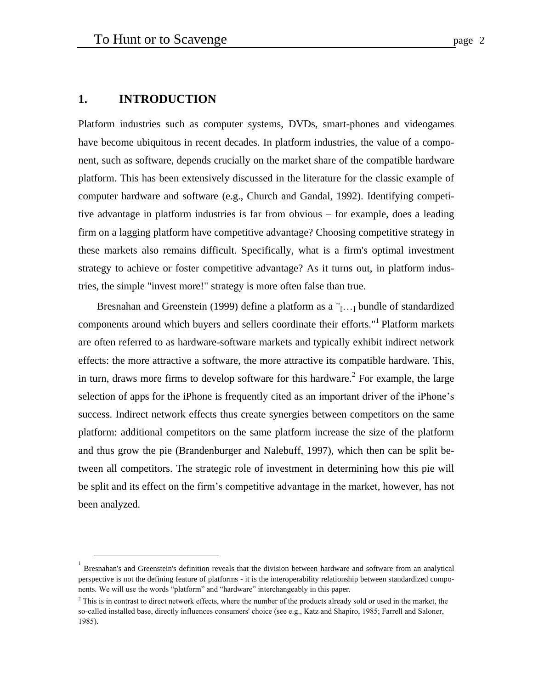# **1. INTRODUCTION**

<u>.</u>

Platform industries such as computer systems, DVDs, smart-phones and videogames have become ubiquitous in recent decades. In platform industries, the value of a component, such as software, depends crucially on the market share of the compatible hardware platform. This has been extensively discussed in the literature for the classic example of computer hardware and software (e.g., Church and Gandal, 1992). Identifying competitive advantage in platform industries is far from obvious – for example, does a leading firm on a lagging platform have competitive advantage? Choosing competitive strategy in these markets also remains difficult. Specifically, what is a firm's optimal investment strategy to achieve or foster competitive advantage? As it turns out, in platform industries, the simple "invest more!" strategy is more often false than true.

Bresnahan and Greenstein (1999) define a platform as a "[...] bundle of standardized components around which buyers and sellers coordinate their efforts."<sup>1</sup> Platform markets are often referred to as hardware-software markets and typically exhibit indirect network effects: the more attractive a software, the more attractive its compatible hardware. This, in turn, draws more firms to develop software for this hardware.<sup>2</sup> For example, the large selection of apps for the iPhone is frequently cited as an important driver of the iPhone's success. Indirect network effects thus create synergies between competitors on the same platform: additional competitors on the same platform increase the size of the platform and thus grow the pie (Brandenburger and Nalebuff, 1997), which then can be split between all competitors. The strategic role of investment in determining how this pie will be split and its effect on the firm's competitive advantage in the market, however, has not been analyzed.

<sup>1</sup> Bresnahan's and Greenstein's definition reveals that the division between hardware and software from an analytical perspective is not the defining feature of platforms - it is the interoperability relationship between standardized components. We will use the words "platform" and "hardware" interchangeably in this paper.

<sup>&</sup>lt;sup>2</sup> This is in contrast to direct network effects, where the number of the products already sold or used in the market, the so-called installed base, directly influences consumers' choice (see e.g., Katz and Shapiro, 1985; Farrell and Saloner, 1985).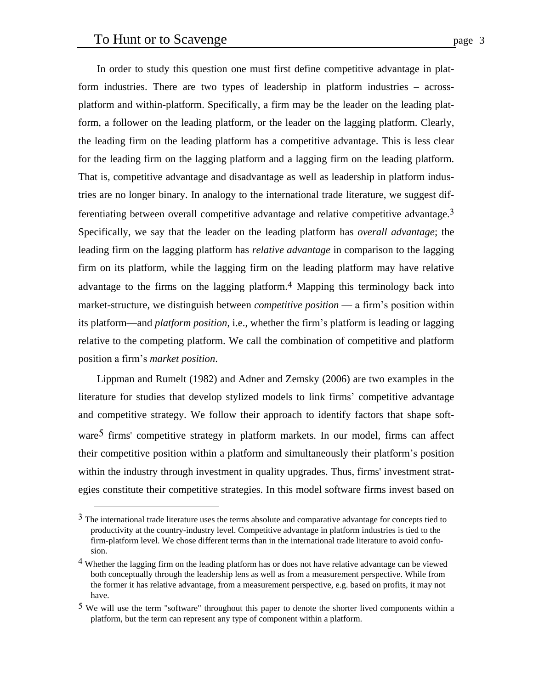<u>.</u>

In order to study this question one must first define competitive advantage in platform industries. There are two types of leadership in platform industries – acrossplatform and within-platform. Specifically, a firm may be the leader on the leading platform, a follower on the leading platform, or the leader on the lagging platform. Clearly, the leading firm on the leading platform has a competitive advantage. This is less clear for the leading firm on the lagging platform and a lagging firm on the leading platform. That is, competitive advantage and disadvantage as well as leadership in platform industries are no longer binary. In analogy to the international trade literature, we suggest differentiating between overall competitive advantage and relative competitive advantage.3 Specifically, we say that the leader on the leading platform has *overall advantage*; the leading firm on the lagging platform has *relative advantage* in comparison to the lagging firm on its platform, while the lagging firm on the leading platform may have relative advantage to the firms on the lagging platform.<sup>4</sup> Mapping this terminology back into market-structure, we distinguish between *competitive position* — a firm's position within its platform—and *platform position*, i.e., whether the firm's platform is leading or lagging relative to the competing platform. We call the combination of competitive and platform position a firm's *market position*.

Lippman and Rumelt (1982) and Adner and Zemsky (2006) are two examples in the literature for studies that develop stylized models to link firms' competitive advantage and competitive strategy. We follow their approach to identify factors that shape software<sup>5</sup> firms' competitive strategy in platform markets. In our model, firms can affect their competitive position within a platform and simultaneously their platform's position within the industry through investment in quality upgrades. Thus, firms' investment strategies constitute their competitive strategies. In this model software firms invest based on

 $3$  The international trade literature uses the terms absolute and comparative advantage for concepts tied to productivity at the country-industry level. Competitive advantage in platform industries is tied to the firm-platform level. We chose different terms than in the international trade literature to avoid confusion.

<sup>&</sup>lt;sup>4</sup> Whether the lagging firm on the leading platform has or does not have relative advantage can be viewed both conceptually through the leadership lens as well as from a measurement perspective. While from the former it has relative advantage, from a measurement perspective, e.g. based on profits, it may not have.

<sup>5</sup> We will use the term "software" throughout this paper to denote the shorter lived components within a platform, but the term can represent any type of component within a platform.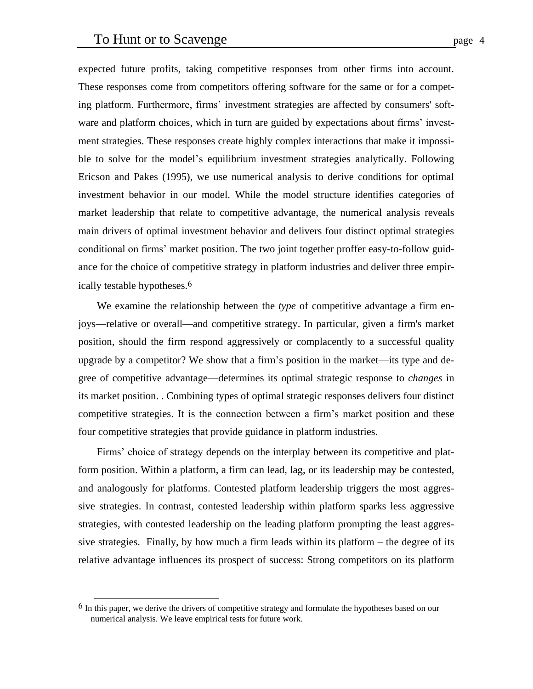expected future profits, taking competitive responses from other firms into account. These responses come from competitors offering software for the same or for a competing platform. Furthermore, firms' investment strategies are affected by consumers' software and platform choices, which in turn are guided by expectations about firms' investment strategies. These responses create highly complex interactions that make it impossible to solve for the model's equilibrium investment strategies analytically. Following Ericson and Pakes (1995), we use numerical analysis to derive conditions for optimal investment behavior in our model. While the model structure identifies categories of market leadership that relate to competitive advantage, the numerical analysis reveals main drivers of optimal investment behavior and delivers four distinct optimal strategies conditional on firms' market position. The two joint together proffer easy-to-follow guidance for the choice of competitive strategy in platform industries and deliver three empirically testable hypotheses. 6

We examine the relationship between the *type* of competitive advantage a firm enjoys—relative or overall—and competitive strategy. In particular, given a firm's market position, should the firm respond aggressively or complacently to a successful quality upgrade by a competitor? We show that a firm's position in the market—its type and degree of competitive advantage—determines its optimal strategic response to *changes* in its market position. . Combining types of optimal strategic responses delivers four distinct competitive strategies. It is the connection between a firm's market position and these four competitive strategies that provide guidance in platform industries.

Firms' choice of strategy depends on the interplay between its competitive and platform position. Within a platform, a firm can lead, lag, or its leadership may be contested, and analogously for platforms. Contested platform leadership triggers the most aggressive strategies. In contrast, contested leadership within platform sparks less aggressive strategies, with contested leadership on the leading platform prompting the least aggressive strategies. Finally, by how much a firm leads within its platform – the degree of its relative advantage influences its prospect of success: Strong competitors on its platform

<u>.</u>

 $6$  In this paper, we derive the drivers of competitive strategy and formulate the hypotheses based on our numerical analysis. We leave empirical tests for future work.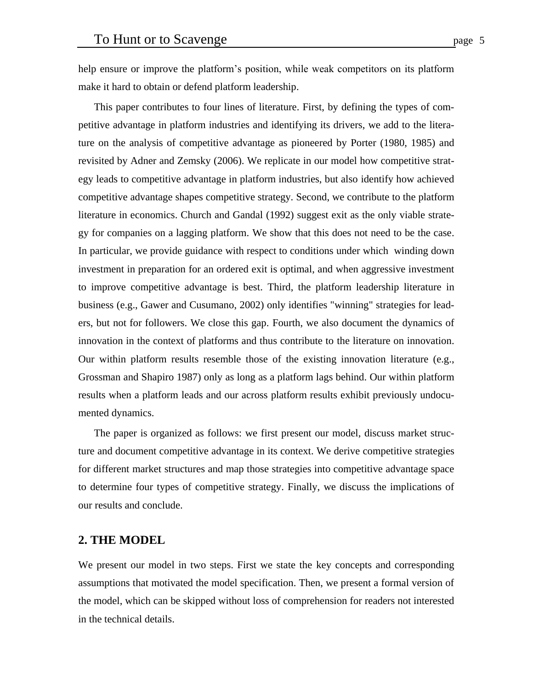help ensure or improve the platform's position, while weak competitors on its platform make it hard to obtain or defend platform leadership.

This paper contributes to four lines of literature. First, by defining the types of competitive advantage in platform industries and identifying its drivers, we add to the literature on the analysis of competitive advantage as pioneered by Porter (1980, 1985) and revisited by Adner and Zemsky (2006). We replicate in our model how competitive strategy leads to competitive advantage in platform industries, but also identify how achieved competitive advantage shapes competitive strategy. Second, we contribute to the platform literature in economics. Church and Gandal (1992) suggest exit as the only viable strategy for companies on a lagging platform. We show that this does not need to be the case. In particular, we provide guidance with respect to conditions under which winding down investment in preparation for an ordered exit is optimal, and when aggressive investment to improve competitive advantage is best. Third, the platform leadership literature in business (e.g., Gawer and Cusumano, 2002) only identifies "winning" strategies for leaders, but not for followers. We close this gap. Fourth, we also document the dynamics of innovation in the context of platforms and thus contribute to the literature on innovation. Our within platform results resemble those of the existing innovation literature (e.g., Grossman and Shapiro 1987) only as long as a platform lags behind. Our within platform results when a platform leads and our across platform results exhibit previously undocumented dynamics.

The paper is organized as follows: we first present our model, discuss market structure and document competitive advantage in its context. We derive competitive strategies for different market structures and map those strategies into competitive advantage space to determine four types of competitive strategy. Finally, we discuss the implications of our results and conclude.

# **2. THE MODEL**

We present our model in two steps. First we state the key concepts and corresponding assumptions that motivated the model specification. Then, we present a formal version of the model, which can be skipped without loss of comprehension for readers not interested in the technical details.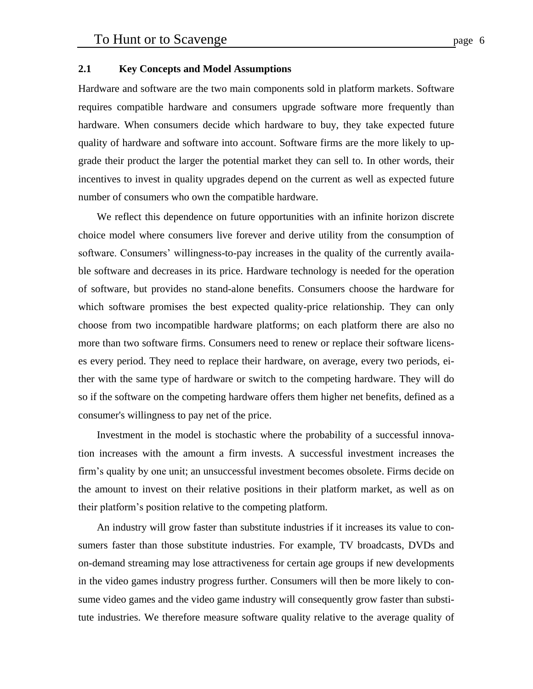## **2.1 Key Concepts and Model Assumptions**

Hardware and software are the two main components sold in platform markets. Software requires compatible hardware and consumers upgrade software more frequently than hardware. When consumers decide which hardware to buy, they take expected future quality of hardware and software into account. Software firms are the more likely to upgrade their product the larger the potential market they can sell to. In other words, their incentives to invest in quality upgrades depend on the current as well as expected future number of consumers who own the compatible hardware.

We reflect this dependence on future opportunities with an infinite horizon discrete choice model where consumers live forever and derive utility from the consumption of software. Consumers' willingness-to-pay increases in the quality of the currently available software and decreases in its price. Hardware technology is needed for the operation of software, but provides no stand-alone benefits. Consumers choose the hardware for which software promises the best expected quality-price relationship. They can only choose from two incompatible hardware platforms; on each platform there are also no more than two software firms. Consumers need to renew or replace their software licenses every period. They need to replace their hardware, on average, every two periods, either with the same type of hardware or switch to the competing hardware. They will do so if the software on the competing hardware offers them higher net benefits, defined as a consumer's willingness to pay net of the price.

Investment in the model is stochastic where the probability of a successful innovation increases with the amount a firm invests. A successful investment increases the firm's quality by one unit; an unsuccessful investment becomes obsolete. Firms decide on the amount to invest on their relative positions in their platform market, as well as on their platform's position relative to the competing platform.

An industry will grow faster than substitute industries if it increases its value to consumers faster than those substitute industries. For example, TV broadcasts, DVDs and on-demand streaming may lose attractiveness for certain age groups if new developments in the video games industry progress further. Consumers will then be more likely to consume video games and the video game industry will consequently grow faster than substitute industries. We therefore measure software quality relative to the average quality of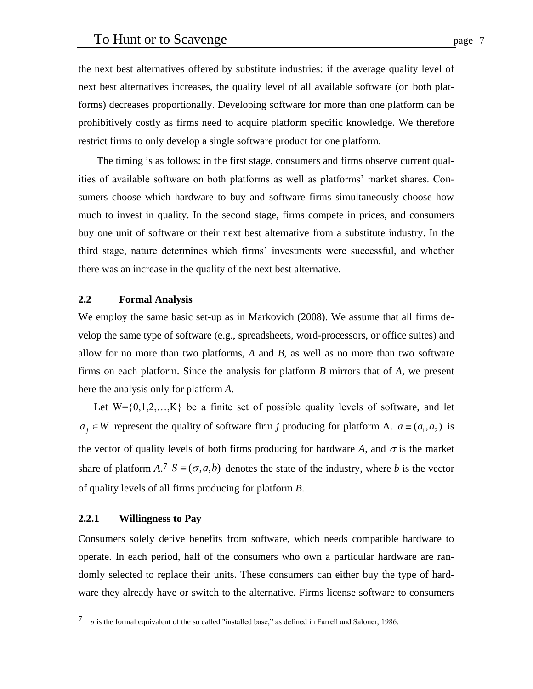the next best alternatives offered by substitute industries: if the average quality level of next best alternatives increases, the quality level of all available software (on both platforms) decreases proportionally. Developing software for more than one platform can be prohibitively costly as firms need to acquire platform specific knowledge. We therefore restrict firms to only develop a single software product for one platform.

The timing is as follows: in the first stage, consumers and firms observe current qualities of available software on both platforms as well as platforms' market shares. Consumers choose which hardware to buy and software firms simultaneously choose how much to invest in quality. In the second stage, firms compete in prices, and consumers buy one unit of software or their next best alternative from a substitute industry. In the third stage, nature determines which firms' investments were successful, and whether there was an increase in the quality of the next best alternative.

## **2.2 Formal Analysis**

We employ the same basic set-up as in Markovich (2008). We assume that all firms develop the same type of software (e.g., spreadsheets, word-processors, or office suites) and allow for no more than two platforms, *A* and *B*, as well as no more than two software firms on each platform. Since the analysis for platform *B* mirrors that of *A*, we present here the analysis only for platform *A*.

Let  $W = \{0,1,2,...,K\}$  be a finite set of possible quality levels of software, and let  $a_j \in W$  represent the quality of software firm *j* producing for platform A.  $a = (a_1, a_2)$  is the vector of quality levels of both firms producing for hardware A, and  $\sigma$  is the market share of platform  $A^T S \equiv (\sigma, a, b)$  denotes the state of the industry, where *b* is the vector of quality levels of all firms producing for platform *B*.

#### **2.2.1 Willingness to Pay**

1

Consumers solely derive benefits from software, which needs compatible hardware to operate. In each period, half of the consumers who own a particular hardware are randomly selected to replace their units. These consumers can either buy the type of hardware they already have or switch to the alternative. Firms license software to consumers

 $\sigma$  is the formal equivalent of the so called "installed base," as defined in Farrell and Saloner, 1986.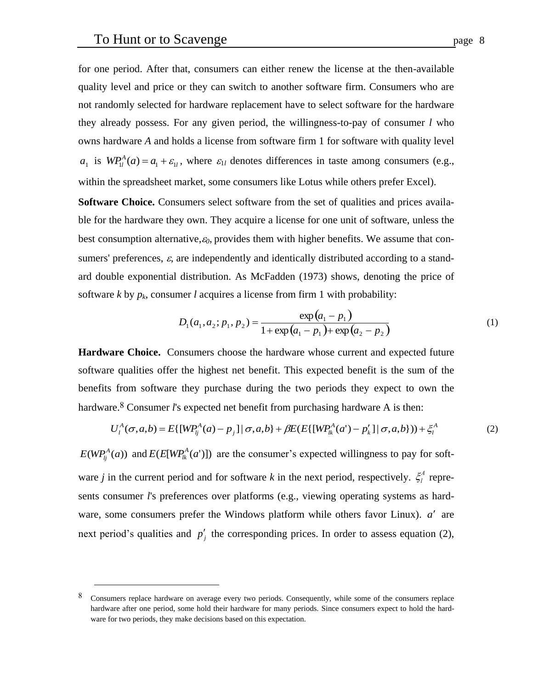<u>.</u>

for one period. After that, consumers can either renew the license at the then-available quality level and price or they can switch to another software firm. Consumers who are not randomly selected for hardware replacement have to select software for the hardware they already possess. For any given period, the willingness-to-pay of consumer *l* who owns hardware *A* and holds a license from software firm 1 for software with quality level  $a_1$  is  $WP_{1l}^A(a) = a_1 + \varepsilon_{1l}$ , where  $\varepsilon_{1l}$  denotes differences in taste among consumers (e.g., within the spreadsheet market, some consumers like Lotus while others prefer Excel).

**Software Choice.** Consumers select software from the set of qualities and prices available for the hardware they own. They acquire a license for one unit of software, unless the best consumption alternative,*0*, provides them with higher benefits. We assume that consumers' preferences,  $\varepsilon$ , are independently and identically distributed according to a standard double exponential distribution. As McFadden (1973) shows, denoting the price of software *k* by  $p_k$ , consumer *l* acquires a license from firm 1 with probability:

$$
D_1(a_1, a_2; p_1, p_2) = \frac{\exp(a_1 - p_1)}{1 + \exp(a_1 - p_1) + \exp(a_2 - p_2)}
$$
(1)

**Hardware Choice.** Consumers choose the hardware whose current and expected future software qualities offer the highest net benefit. This expected benefit is the sum of the benefits from software they purchase during the two periods they expect to own the hardware.<sup>8</sup> Consumer *l's* expected net benefit from purchasing hardware A is then:

$$
U_l^A(\sigma, a, b) = E\{[WP_{lj}^A(a) - p_j] | \sigma, a, b\} + \beta E(E\{[WP_{lk}^A(a') - p'_k] | \sigma, a, b\}) + \xi_l^A
$$
 (2)

 $E(WP_{lj}^{A}(a))$  and  $E(E[WP_{lk}^{A}(a')])$  are the consumer's expected willingness to pay for software *j* in the current period and for software *k* in the next period, respectively.  $\zeta_l^A$  represents consumer *l*'s preferences over platforms (e.g., viewing operating systems as hardware, some consumers prefer the Windows platform while others favor Linux).  $a'$  are next period's qualities and  $p'_j$  the corresponding prices. In order to assess equation (2),

<sup>8</sup> Consumers replace hardware on average every two periods. Consequently, while some of the consumers replace hardware after one period, some hold their hardware for many periods. Since consumers expect to hold the hardware for two periods, they make decisions based on this expectation.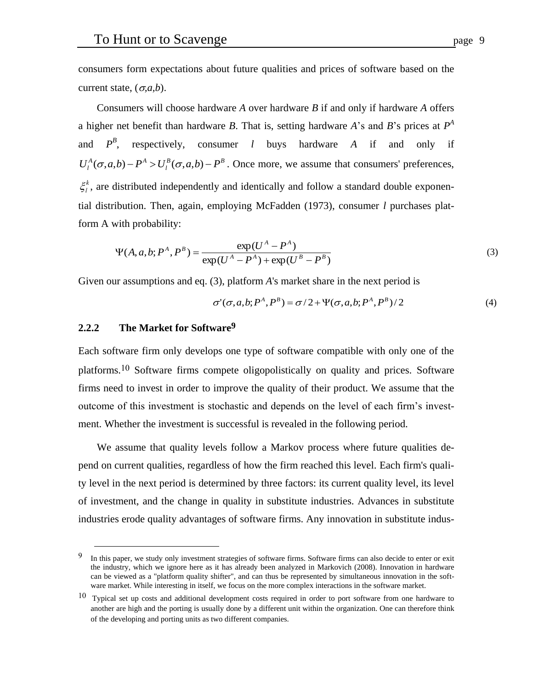consumers form expectations about future qualities and prices of software based on the current state,  $(\sigma, a, b)$ .

Consumers will choose hardware *A* over hardware *B* if and only if hardware *A* offers a higher net benefit than hardware *B*. That is, setting hardware *A*'s and *B*'s prices at  $P^A$ and *B* , respectively, consumer *l* buys hardware *A* if and only if  $B(\sigma a h)$   $D^B$  $U_l^A(\sigma, a, b) - P^A > U_l^B(\sigma, a, b) - P^B$ . Once more, we assume that consumers' preferences,  $\xi_l^k$ , are distributed independently and identically and follow a standard double exponential distribution. Then, again, employing McFadden (1973), consumer *l* purchases platform A with probability:

$$
\Psi(A, a, b; P^A, P^B) = \frac{\exp(U^A - P^A)}{\exp(U^A - P^A) + \exp(U^B - P^B)}
$$
(3)

Given our assumptions and eq. (3), platform *A*'s market share in the next period is

$$
\sigma'(\sigma, a, b; P^A, P^B) = \sigma/2 + \Psi(\sigma, a, b; P^A, P^B)/2
$$
\n(4)

## **2.2.2 The Market for Software9**

-

Each software firm only develops one type of software compatible with only one of the platforms.10 Software firms compete oligopolistically on quality and prices. Software firms need to invest in order to improve the quality of their product. We assume that the outcome of this investment is stochastic and depends on the level of each firm's investment. Whether the investment is successful is revealed in the following period.

We assume that quality levels follow a Markov process where future qualities depend on current qualities, regardless of how the firm reached this level. Each firm's quality level in the next period is determined by three factors: its current quality level, its level of investment, and the change in quality in substitute industries. Advances in substitute industries erode quality advantages of software firms. Any innovation in substitute indus-

<sup>&</sup>lt;sup>9</sup> In this paper, we study only investment strategies of software firms. Software firms can also decide to enter or exit the industry, which we ignore here as it has already been analyzed in Markovich (2008). Innovation in hardware can be viewed as a "platform quality shifter", and can thus be represented by simultaneous innovation in the software market. While interesting in itself, we focus on the more complex interactions in the software market.

 $10$  Typical set up costs and additional development costs required in order to port software from one hardware to another are high and the porting is usually done by a different unit within the organization. One can therefore think of the developing and porting units as two different companies.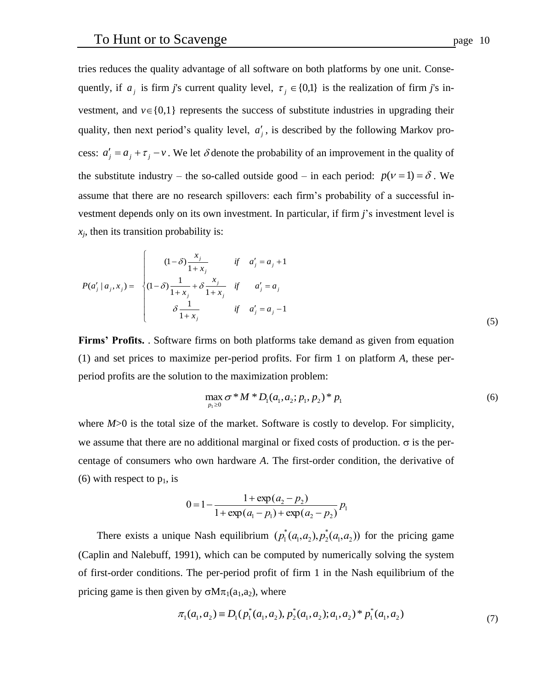tries reduces the quality advantage of all software on both platforms by one unit. Consequently, if  $a_j$  is firm *j*'s current quality level,  $\tau_j \in \{0,1\}$  is the realization of firm *j*'s investment, and  $v \in \{0,1\}$  represents the success of substitute industries in upgrading their quality, then next period's quality level,  $a'_{j}$ , is described by the following Markov process:  $a'_{j} = a_{j} + \tau_{j} - v$ . We let  $\delta$  denote the probability of an improvement in the quality of the substitute industry – the so-called outside good – in each period:  $p(v=1) = \delta$ . We assume that there are no research spillovers: each firm's probability of a successful investment depends only on its own investment. In particular, if firm *j*'s investment level is  $x_i$ , then its transition probability is:

$$
P(a'_j | a_j, x_j) = \begin{cases} (1 - \delta) \frac{x_j}{1 + x_j} & \text{if } a'_j = a_j + 1 \\ (1 - \delta) \frac{1}{1 + x_j} + \delta \frac{x_j}{1 + x_j} & \text{if } a'_j = a_j \\ \delta \frac{1}{1 + x_j} & \text{if } a'_j = a_j - 1 \end{cases}
$$
(5)

**Firms' Profits.** . Software firms on both platforms take demand as given from equation (1) and set prices to maximize per-period profits. For firm 1 on platform *A*, these perperiod profits are the solution to the maximization problem:

$$
\max_{p_1 \ge 0} \sigma^* M^* D_1(a_1, a_2; p_1, p_2)^* p_1
$$
\n(6)

where  $M > 0$  is the total size of the market. Software is costly to develop. For simplicity, we assume that there are no additional marginal or fixed costs of production.  $\sigma$  is the percentage of consumers who own hardware *A*. The first-order condition, the derivative of (6) with respect to  $p_1$ , is

$$
0 = 1 - \frac{1 + \exp(a_2 - p_2)}{1 + \exp(a_1 - p_1) + \exp(a_2 - p_2)} p_1
$$

 (Caplin and Nalebuff, 1991), which can be computed by numerically solving the system There exists a unique Nash equilibrium  $(p_1^*(a_1, a_2), p_2^*(a_1, a_2))$  for the pricing game  $\mathbb{R}^2$ of first-order conditions. The per-period profit of firm 1 in the Nash equilibrium of the pricing game is then given by  $\sigma M \pi_1(a_1, a_2)$ , where

$$
\pi_1(a_1, a_2) \equiv D_1(p_1^*(a_1, a_2), p_2^*(a_1, a_2); a_1, a_2)^* p_1^*(a_1, a_2)
$$
\n<sup>(7)</sup>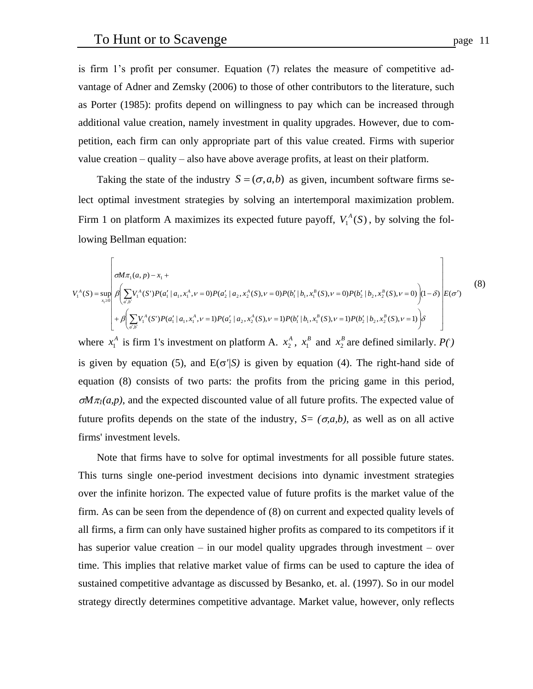is firm 1's profit per consumer. Equation (7) relates the measure of competitive advantage of Adner and Zemsky (2006) to those of other contributors to the literature, such as Porter (1985): profits depend on willingness to pay which can be increased through additional value creation, namely investment in quality upgrades. However, due to competition, each firm can only appropriate part of this value created. Firms with superior value creation – quality – also have above average profits, at least on their platform.

Taking the state of the industry  $S = (\sigma, a, b)$  as given, incumbent software firms select optimal investment strategies by solving an intertemporal maximization problem. Firm 1 on platform A maximizes its expected future payoff,  $V_1^A(S)$ , by solving the following Bellman equation:

$$
V_1^A(S) = \sup_{x_1 \ge 0} \beta \left( \sum_{a',b'} V_1^A(S')P(a'_1 \mid a_1, x_1^A, \nu = 0)P(a'_2 \mid a_2, x_2^A(S), \nu = 0)P(b'_1 \mid b_1, x_1^B(S), \nu = 0)P(b'_2 \mid b_2, x_2^B(S), \nu = 0) \right) (1 - \delta) \left| E(\sigma') \right|
$$
\n
$$
+ \beta \left( \sum_{a',b'} V_1^A(S')P(a'_1 \mid a_1, x_1^A, \nu = 1)P(a'_2 \mid a_2, x_2^A(S), \nu = 1)P(b'_1 \mid b_1, x_1^B(S), \nu = 1)P(b'_2 \mid b_2, x_2^B(S), \nu = 1) \right) \delta
$$
\n(8)

where  $x_1^A$  is firm 1's investment on platform A.  $x_2^A$ ,  $x_1^B$  and  $x_2^B$  are defined similarly.  $P(\cdot)$ is given by equation (5), and  $E(\sigma'/S)$  is given by equation (4). The right-hand side of equation (8) consists of two parts: the profits from the pricing game in this period,  $\sigma M \pi_l(a,p)$ , and the expected discounted value of all future profits. The expected value of future profits depends on the state of the industry,  $S=(\sigma,a,b)$ , as well as on all active firms' investment levels.

Note that firms have to solve for optimal investments for all possible future states. This turns single one-period investment decisions into dynamic investment strategies over the infinite horizon. The expected value of future profits is the market value of the firm. As can be seen from the dependence of (8) on current and expected quality levels of all firms, a firm can only have sustained higher profits as compared to its competitors if it has superior value creation – in our model quality upgrades through investment – over time. This implies that relative market value of firms can be used to capture the idea of sustained competitive advantage as discussed by Besanko, et. al. (1997). So in our model strategy directly determines competitive advantage. Market value, however, only reflects

 $\overline{\phantom{0}}$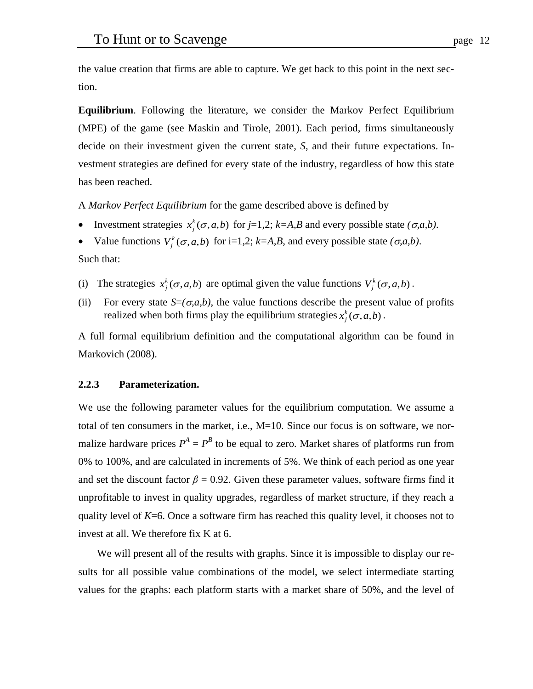the value creation that firms are able to capture. We get back to this point in the next section.

**Equilibrium**. Following the literature, we consider the Markov Perfect Equilibrium (MPE) of the game (see Maskin and Tirole, 2001). Each period, firms simultaneously decide on their investment given the current state, *S*, and their future expectations. Investment strategies are defined for every state of the industry, regardless of how this state has been reached.

A *Markov Perfect Equilibrium* for the game described above is defined by

- Investment strategies  $x_j^k(\sigma, a, b)$  for *j*=1,2; *k*=*A*,*B* and every possible state  $(\sigma, a, b)$ .
- Value functions  $V_j^k(\sigma, a, b)$  for i=1,2; *k*=*A*,*B*, and every possible state  $(\sigma, a, b)$ .

Such that:

- (i) The strategies  $x_j^k(\sigma, a, b)$  are optimal given the value functions  $V_j^k(\sigma, a, b)$ .
- (ii) For every state  $S=(\sigma, a, b)$ , the value functions describe the present value of profits realized when both firms play the equilibrium strategies  $x_j^k(\sigma, a, b)$ .

A full formal equilibrium definition and the computational algorithm can be found in Markovich (2008).

#### **2.2.3 Parameterization.**

We use the following parameter values for the equilibrium computation. We assume a total of ten consumers in the market, i.e., M=10. Since our focus is on software, we normalize hardware prices  $P^A = P^B$  to be equal to zero. Market shares of platforms run from 0% to 100%, and are calculated in increments of 5%. We think of each period as one year and set the discount factor  $\beta = 0.92$ . Given these parameter values, software firms find it unprofitable to invest in quality upgrades, regardless of market structure, if they reach a quality level of *K*=6. Once a software firm has reached this quality level, it chooses not to invest at all. We therefore fix K at 6.

We will present all of the results with graphs. Since it is impossible to display our results for all possible value combinations of the model, we select intermediate starting values for the graphs: each platform starts with a market share of 50%, and the level of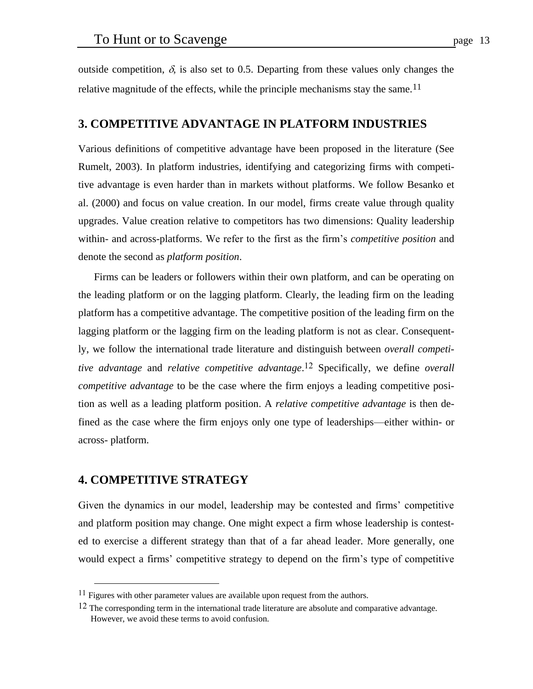outside competition,  $\delta$ , is also set to 0.5. Departing from these values only changes the relative magnitude of the effects, while the principle mechanisms stay the same.<sup>11</sup>

## **3. COMPETITIVE ADVANTAGE IN PLATFORM INDUSTRIES**

Various definitions of competitive advantage have been proposed in the literature (See Rumelt, 2003). In platform industries, identifying and categorizing firms with competitive advantage is even harder than in markets without platforms. We follow Besanko et al. (2000) and focus on value creation. In our model, firms create value through quality upgrades. Value creation relative to competitors has two dimensions: Quality leadership within- and across-platforms. We refer to the first as the firm's *competitive position* and denote the second as *platform position*.

Firms can be leaders or followers within their own platform, and can be operating on the leading platform or on the lagging platform. Clearly, the leading firm on the leading platform has a competitive advantage. The competitive position of the leading firm on the lagging platform or the lagging firm on the leading platform is not as clear. Consequently, we follow the international trade literature and distinguish between *overall competitive advantage* and *relative competitive advantage*. 12 Specifically, we define *overall competitive advantage* to be the case where the firm enjoys a leading competitive position as well as a leading platform position. A *relative competitive advantage* is then defined as the case where the firm enjoys only one type of leaderships—either within- or across- platform.

## **4. COMPETITIVE STRATEGY**

<u>.</u>

Given the dynamics in our model, leadership may be contested and firms' competitive and platform position may change. One might expect a firm whose leadership is contested to exercise a different strategy than that of a far ahead leader. More generally, one would expect a firms' competitive strategy to depend on the firm's type of competitive

<sup>&</sup>lt;sup>11</sup> Figures with other parameter values are available upon request from the authors.

<sup>&</sup>lt;sup>12</sup> The corresponding term in the international trade literature are absolute and comparative advantage. However, we avoid these terms to avoid confusion.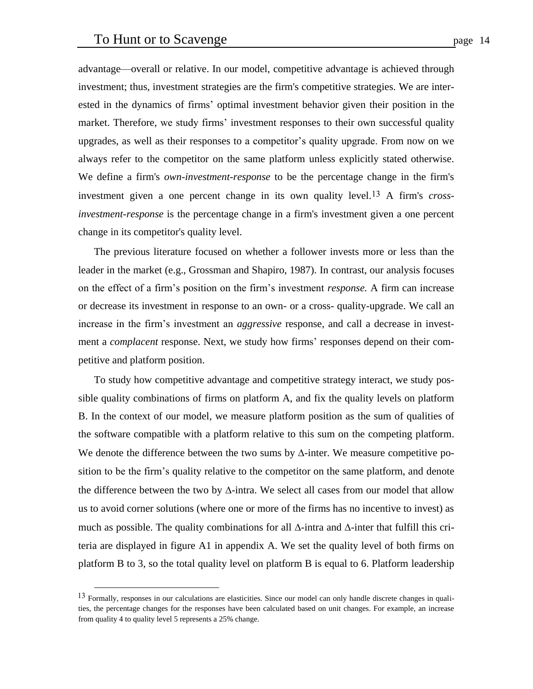<u>.</u>

advantage—overall or relative. In our model, competitive advantage is achieved through investment; thus, investment strategies are the firm's competitive strategies. We are interested in the dynamics of firms' optimal investment behavior given their position in the market. Therefore, we study firms' investment responses to their own successful quality upgrades, as well as their responses to a competitor's quality upgrade. From now on we always refer to the competitor on the same platform unless explicitly stated otherwise. We define a firm's *own-investment-response* to be the percentage change in the firm's investment given a one percent change in its own quality level.13 A firm's *crossinvestment-response* is the percentage change in a firm's investment given a one percent change in its competitor's quality level.

The previous literature focused on whether a follower invests more or less than the leader in the market (e.g., Grossman and Shapiro, 1987). In contrast, our analysis focuses on the effect of a firm's position on the firm's investment *response.* A firm can increase or decrease its investment in response to an own- or a cross- quality-upgrade. We call an increase in the firm's investment an *aggressive* response, and call a decrease in investment a *complacent* response. Next, we study how firms' responses depend on their competitive and platform position.

To study how competitive advantage and competitive strategy interact, we study possible quality combinations of firms on platform A, and fix the quality levels on platform B. In the context of our model, we measure platform position as the sum of qualities of the software compatible with a platform relative to this sum on the competing platform. We denote the difference between the two sums by  $\Delta$ -inter. We measure competitive position to be the firm's quality relative to the competitor on the same platform, and denote the difference between the two by  $\Delta$ -intra. We select all cases from our model that allow us to avoid corner solutions (where one or more of the firms has no incentive to invest) as much as possible. The quality combinations for all  $\Delta$ -intra and  $\Delta$ -inter that fulfill this criteria are displayed in figure A1 in appendix A. We set the quality level of both firms on platform B to 3, so the total quality level on platform B is equal to 6. Platform leadership

 $13$  Formally, responses in our calculations are elasticities. Since our model can only handle discrete changes in qualities, the percentage changes for the responses have been calculated based on unit changes. For example, an increase from quality 4 to quality level 5 represents a 25% change.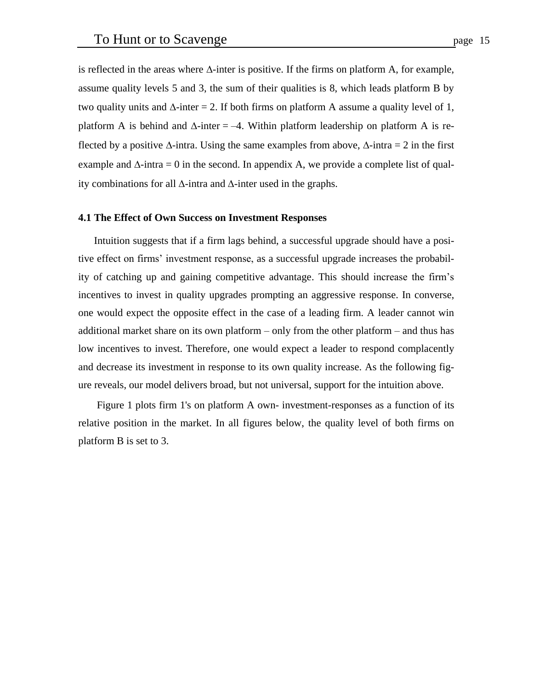is reflected in the areas where  $\Delta$ -inter is positive. If the firms on platform A, for example, assume quality levels 5 and 3, the sum of their qualities is 8, which leads platform B by two quality units and  $\Delta$ -inter = 2. If both firms on platform A assume a quality level of 1, platform A is behind and  $\Delta$ -inter = -4. Within platform leadership on platform A is reflected by a positive  $\Delta$ -intra. Using the same examples from above,  $\Delta$ -intra = 2 in the first example and  $\Delta$ -intra = 0 in the second. In appendix A, we provide a complete list of quality combinations for all  $\Delta$ -intra and  $\Delta$ -inter used in the graphs.

#### **4.1 The Effect of Own Success on Investment Responses**

Intuition suggests that if a firm lags behind, a successful upgrade should have a positive effect on firms' investment response, as a successful upgrade increases the probability of catching up and gaining competitive advantage. This should increase the firm's incentives to invest in quality upgrades prompting an aggressive response. In converse, one would expect the opposite effect in the case of a leading firm. A leader cannot win additional market share on its own platform – only from the other platform – and thus has low incentives to invest. Therefore, one would expect a leader to respond complacently and decrease its investment in response to its own quality increase. As the following figure reveals, our model delivers broad, but not universal, support for the intuition above.

Figure 1 plots firm 1's on platform A own- investment-responses as a function of its relative position in the market. In all figures below, the quality level of both firms on platform B is set to 3.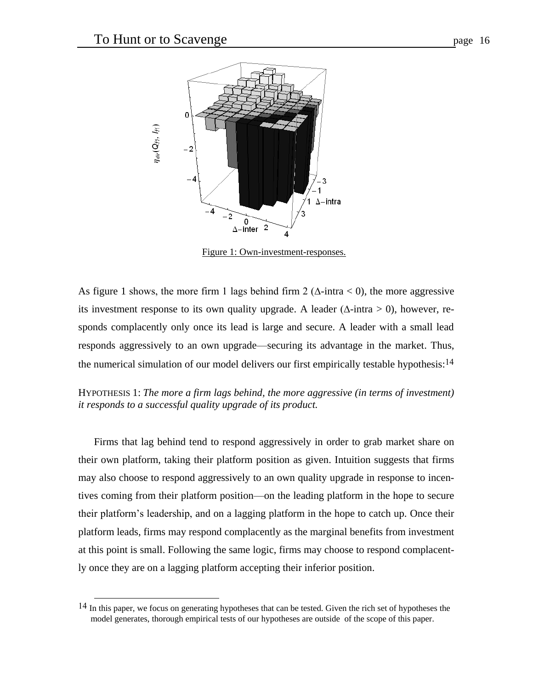

Figure 1: Own-investment-responses.

 $\boldsymbol{\Lambda}$ 

As figure 1 shows, the more firm 1 lags behind firm 2 ( $\Delta$ -intra < 0), the more aggressive its investment response to its own quality upgrade. A leader ( $\Delta$ -intra > 0), however, responds complacently only once its lead is large and secure. A leader with a small lead responds aggressively to an own upgrade—securing its advantage in the market. Thus, the numerical simulation of our model delivers our first empirically testable hypothesis:<sup>14</sup>

HYPOTHESIS 1: *The more a firm lags behind, the more aggressive (in terms of investment) it responds to a successful quality upgrade of its product.*

Firms that lag behind tend to respond aggressively in order to grab market share on their own platform, taking their platform position as given. Intuition suggests that firms may also choose to respond aggressively to an own quality upgrade in response to incentives coming from their platform position—on the leading platform in the hope to secure their platform's leadership, and on a lagging platform in the hope to catch up. Once their platform leads, firms may respond complacently as the marginal benefits from investment at this point is small. Following the same logic, firms may choose to respond complacently once they are on a lagging platform accepting their inferior position.

<u>.</u>

<sup>14</sup> In this paper, we focus on generating hypotheses that can be tested. Given the rich set of hypotheses the model generates, thorough empirical tests of our hypotheses are outside of the scope of this paper.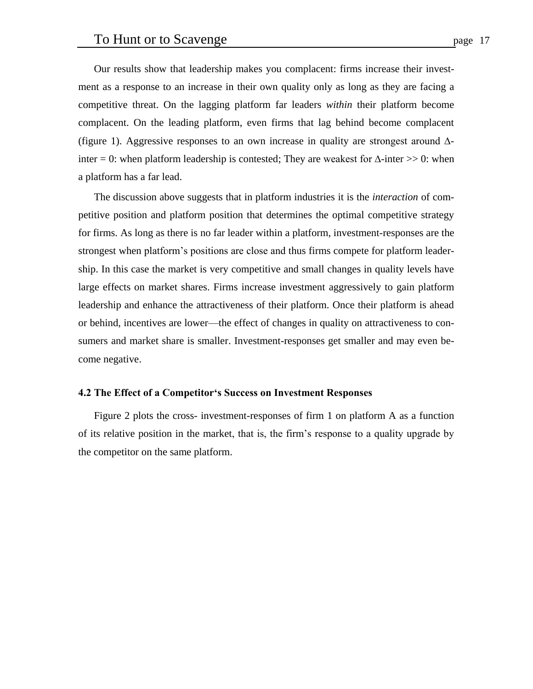Our results show that leadership makes you complacent: firms increase their investment as a response to an increase in their own quality only as long as they are facing a competitive threat. On the lagging platform far leaders *within* their platform become complacent. On the leading platform, even firms that lag behind become complacent (figure 1). Aggressive responses to an own increase in quality are strongest around ∆ inter = 0: when platform leadership is contested; They are weakest for  $\Delta$ -inter >> 0: when a platform has a far lead.

The discussion above suggests that in platform industries it is the *interaction* of competitive position and platform position that determines the optimal competitive strategy for firms. As long as there is no far leader within a platform, investment-responses are the strongest when platform's positions are close and thus firms compete for platform leadership. In this case the market is very competitive and small changes in quality levels have large effects on market shares. Firms increase investment aggressively to gain platform leadership and enhance the attractiveness of their platform. Once their platform is ahead or behind, incentives are lower—the effect of changes in quality on attractiveness to consumers and market share is smaller. Investment-responses get smaller and may even become negative.

#### **4.2 The Effect of a Competitor's Success on Investment Responses**

Figure 2 plots the cross- investment-responses of firm 1 on platform A as a function of its relative position in the market, that is, the firm's response to a quality upgrade by the competitor on the same platform.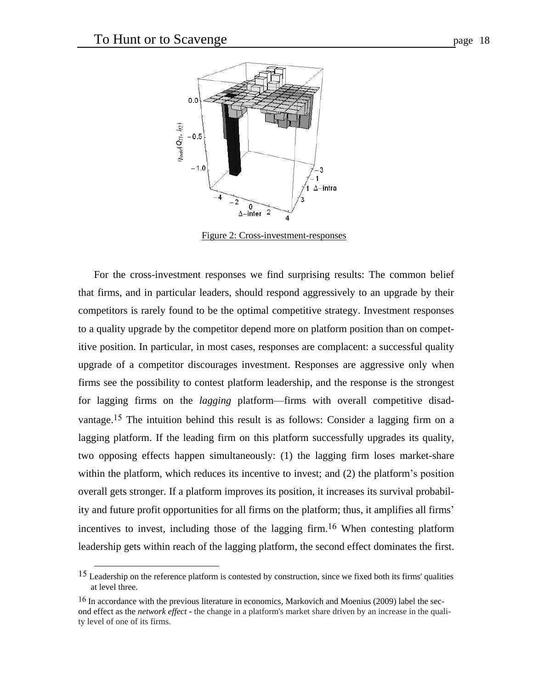1



Figure 2: Cross-investment-responses

For the cross-investment responses we find surprising results: The common belief that firms, and in particular leaders, should respond aggressively to an upgrade by their competitors is rarely found to be the optimal competitive strategy. Investment responses to a quality upgrade by the competitor depend more on platform position than on competitive position. In particular, in most cases, responses are complacent: a successful quality upgrade of a competitor discourages investment. Responses are aggressive only when firms see the possibility to contest platform leadership, and the response is the strongest for lagging firms on the *lagging* platform—firms with overall competitive disadvantage.<sup>15</sup> The intuition behind this result is as follows: Consider a lagging firm on a lagging platform. If the leading firm on this platform successfully upgrades its quality, two opposing effects happen simultaneously: (1) the lagging firm loses market-share within the platform, which reduces its incentive to invest; and (2) the platform's position overall gets stronger. If a platform improves its position, it increases its survival probability and future profit opportunities for all firms on the platform; thus, it amplifies all firms' incentives to invest, including those of the lagging firm. 16 When contesting platform leadership gets within reach of the lagging platform, the second effect dominates the first.

<sup>15</sup> Leadership on the reference platform is contested by construction, since we fixed both its firms' qualities at level three.

<sup>&</sup>lt;sup>16</sup> In accordance with the previous literature in economics, Markovich and Moenius (2009) label the second effect as the *network effect* - the change in a platform's market share driven by an increase in the quality level of one of its firms.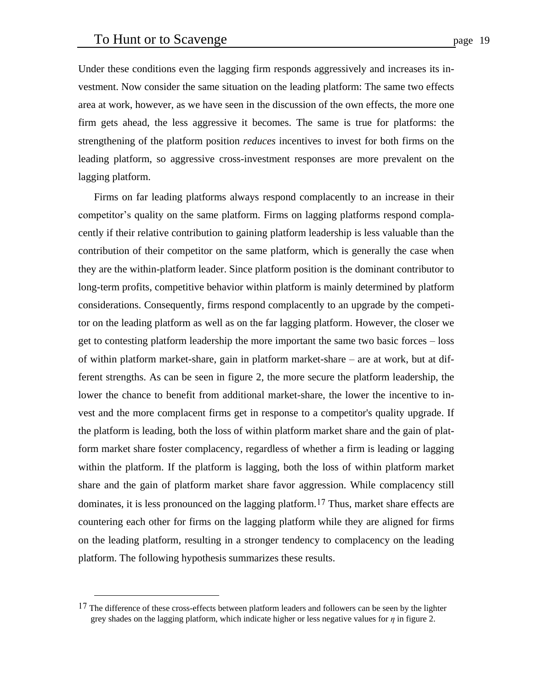Under these conditions even the lagging firm responds aggressively and increases its investment. Now consider the same situation on the leading platform: The same two effects area at work, however, as we have seen in the discussion of the own effects, the more one firm gets ahead, the less aggressive it becomes. The same is true for platforms: the strengthening of the platform position *reduces* incentives to invest for both firms on the leading platform, so aggressive cross-investment responses are more prevalent on the lagging platform.

Firms on far leading platforms always respond complacently to an increase in their competitor's quality on the same platform. Firms on lagging platforms respond complacently if their relative contribution to gaining platform leadership is less valuable than the contribution of their competitor on the same platform, which is generally the case when they are the within-platform leader. Since platform position is the dominant contributor to long-term profits, competitive behavior within platform is mainly determined by platform considerations. Consequently, firms respond complacently to an upgrade by the competitor on the leading platform as well as on the far lagging platform. However, the closer we get to contesting platform leadership the more important the same two basic forces – loss of within platform market-share, gain in platform market-share – are at work, but at different strengths. As can be seen in figure 2, the more secure the platform leadership, the lower the chance to benefit from additional market-share, the lower the incentive to invest and the more complacent firms get in response to a competitor's quality upgrade. If the platform is leading, both the loss of within platform market share and the gain of platform market share foster complacency, regardless of whether a firm is leading or lagging within the platform. If the platform is lagging, both the loss of within platform market share and the gain of platform market share favor aggression. While complacency still dominates, it is less pronounced on the lagging platform.17 Thus, market share effects are countering each other for firms on the lagging platform while they are aligned for firms on the leading platform, resulting in a stronger tendency to complacency on the leading platform. The following hypothesis summarizes these results.

<u>.</u>

 $17$  The difference of these cross-effects between platform leaders and followers can be seen by the lighter grey shades on the lagging platform, which indicate higher or less negative values for *η* in figure 2.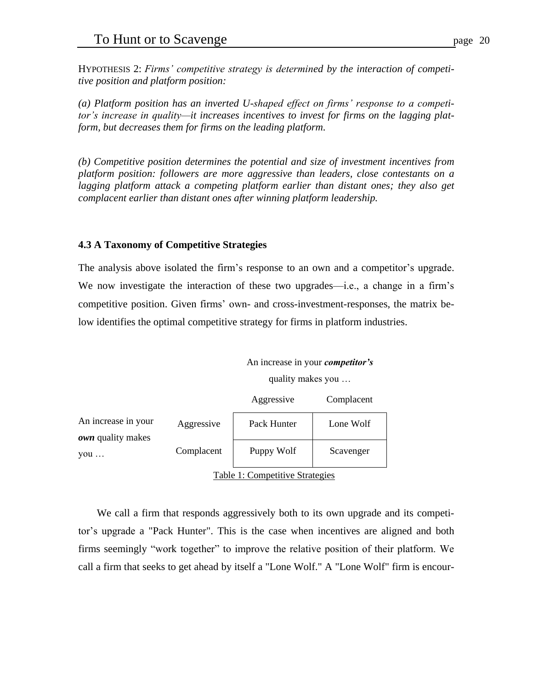HYPOTHESIS 2: *Firms' competitive strategy is determined by the interaction of competitive position and platform position:*

*(a) Platform position has an inverted U-shaped effect on firms' response to a competitor's increase in quality—it increases incentives to invest for firms on the lagging platform, but decreases them for firms on the leading platform.*

*(b) Competitive position determines the potential and size of investment incentives from platform position: followers are more aggressive than leaders, close contestants on a lagging platform attack a competing platform earlier than distant ones; they also get complacent earlier than distant ones after winning platform leadership.*

# **4.3 A Taxonomy of Competitive Strategies**

The analysis above isolated the firm's response to an own and a competitor's upgrade. We now investigate the interaction of these two upgrades—i.e., a change in a firm's competitive position. Given firms' own- and cross-investment-responses, the matrix below identifies the optimal competitive strategy for firms in platform industries.

```
An increase in your competitor's
quality makes you …
```

|                                                        |            | Aggressive                                                                                                                                                                                                                                                                                       | Complacent |  |
|--------------------------------------------------------|------------|--------------------------------------------------------------------------------------------------------------------------------------------------------------------------------------------------------------------------------------------------------------------------------------------------|------------|--|
| An increase in your<br><b><i>own</i></b> quality makes | Aggressive | Pack Hunter                                                                                                                                                                                                                                                                                      | Lone Wolf  |  |
| $\overline{V}$ ou                                      | Complacent | Puppy Wolf                                                                                                                                                                                                                                                                                       | Scavenger  |  |
|                                                        |            | $\mathbf{m}$ and $\mathbf{m}$ and $\mathbf{m}$ and $\mathbf{m}$ and $\mathbf{m}$ and $\mathbf{m}$ and $\mathbf{m}$ and $\mathbf{m}$ and $\mathbf{m}$ and $\mathbf{m}$ and $\mathbf{m}$ and $\mathbf{m}$ and $\mathbf{m}$ and $\mathbf{m}$ and $\mathbf{m}$ and $\mathbf{m}$ and $\mathbf{m}$ and |            |  |

Table 1: Competitive Strategies

We call a firm that responds aggressively both to its own upgrade and its competitor's upgrade a "Pack Hunter". This is the case when incentives are aligned and both firms seemingly "work together" to improve the relative position of their platform. We call a firm that seeks to get ahead by itself a "Lone Wolf." A "Lone Wolf" firm is encour-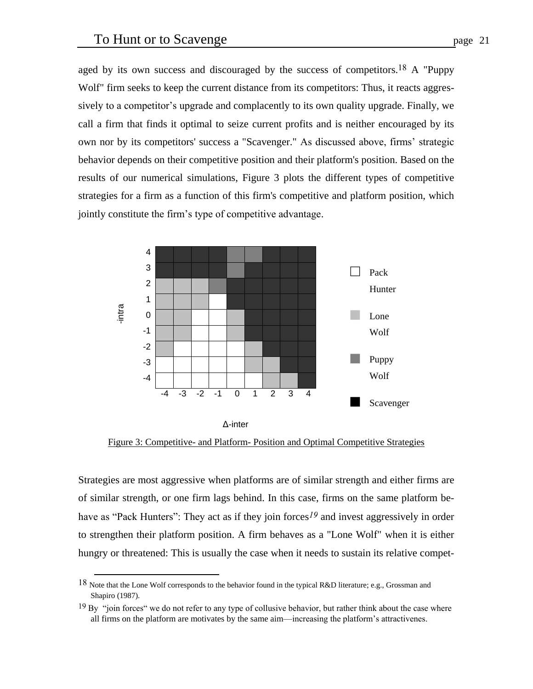aged by its own success and discouraged by the success of competitors.<sup>18</sup> A "Puppy Wolf" firm seeks to keep the current distance from its competitors: Thus, it reacts aggressively to a competitor's upgrade and complacently to its own quality upgrade. Finally, we call a firm that finds it optimal to seize current profits and is neither encouraged by its own nor by its competitors' success a "Scavenger." As discussed above, firms' strategic behavior depends on their competitive position and their platform's position. Based on the results of our numerical simulations, Figure 3 plots the different types of competitive strategies for a firm as a function of this firm's competitive and platform position, which jointly constitute the firm's type of competitive advantage.



Figure 3: Competitive- and Platform- Position and Optimal Competitive Strategies

Strategies are most aggressive when platforms are of similar strength and either firms are of similar strength, or one firm lags behind. In this case, firms on the same platform behave as "Pack Hunters": They act as if they join forces<sup>19</sup> and invest aggressively in order to strengthen their platform position. A firm behaves as a "Lone Wolf" when it is either hungry or threatened: This is usually the case when it needs to sustain its relative compet-

<u>.</u>

<sup>&</sup>lt;sup>18</sup> Note that the Lone Wolf corresponds to the behavior found in the typical R&D literature; e.g., Grossman and Shapiro (1987).

 $19$  By "join forces" we do not refer to any type of collusive behavior, but rather think about the case where all firms on the platform are motivates by the same aim—increasing the platform's attractivenes.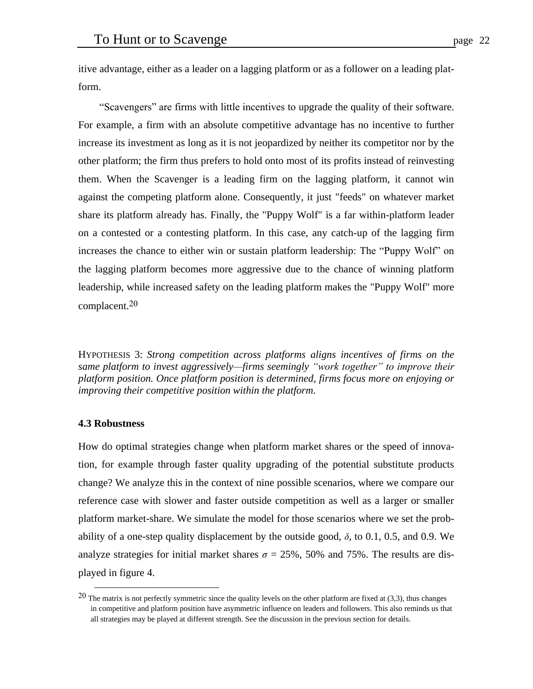itive advantage, either as a leader on a lagging platform or as a follower on a leading platform.

"Scavengers" are firms with little incentives to upgrade the quality of their software. For example, a firm with an absolute competitive advantage has no incentive to further increase its investment as long as it is not jeopardized by neither its competitor nor by the other platform; the firm thus prefers to hold onto most of its profits instead of reinvesting them. When the Scavenger is a leading firm on the lagging platform, it cannot win against the competing platform alone. Consequently, it just "feeds" on whatever market share its platform already has. Finally, the "Puppy Wolf" is a far within-platform leader on a contested or a contesting platform. In this case, any catch-up of the lagging firm increases the chance to either win or sustain platform leadership: The "Puppy Wolf" on the lagging platform becomes more aggressive due to the chance of winning platform leadership, while increased safety on the leading platform makes the "Puppy Wolf" more complacent.20

HYPOTHESIS 3: *Strong competition across platforms aligns incentives of firms on the same platform to invest aggressively—firms seemingly "work together" to improve their platform position. Once platform position is determined, firms focus more on enjoying or improving their competitive position within the platform.*

## **4.3 Robustness**

<u>.</u>

How do optimal strategies change when platform market shares or the speed of innovation, for example through faster quality upgrading of the potential substitute products change? We analyze this in the context of nine possible scenarios, where we compare our reference case with slower and faster outside competition as well as a larger or smaller platform market-share. We simulate the model for those scenarios where we set the probability of a one-step quality displacement by the outside good,  $\delta$ , to 0.1, 0.5, and 0.9. We analyze strategies for initial market shares  $\sigma = 25\%$ , 50% and 75%. The results are displayed in figure 4.

 $20$  The matrix is not perfectly symmetric since the quality levels on the other platform are fixed at (3,3), thus changes in competitive and platform position have asymmetric influence on leaders and followers. This also reminds us that all strategies may be played at different strength. See the discussion in the previous section for details.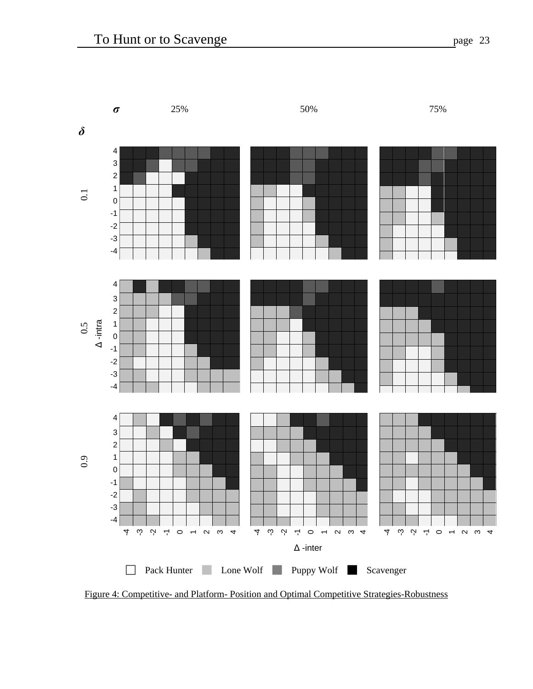

Figure 4: Competitive- and Platform- Position and Optimal Competitive Strategies-Robustness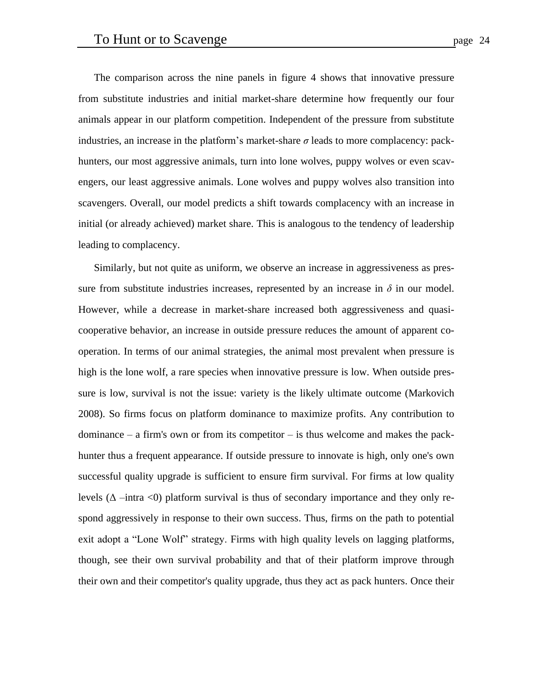The comparison across the nine panels in figure 4 shows that innovative pressure from substitute industries and initial market-share determine how frequently our four animals appear in our platform competition. Independent of the pressure from substitute industries, an increase in the platform's market-share  $\sigma$  leads to more complacency: packhunters, our most aggressive animals, turn into lone wolves, puppy wolves or even scavengers, our least aggressive animals. Lone wolves and puppy wolves also transition into scavengers. Overall, our model predicts a shift towards complacency with an increase in initial (or already achieved) market share. This is analogous to the tendency of leadership leading to complacency.

Similarly, but not quite as uniform, we observe an increase in aggressiveness as pressure from substitute industries increases, represented by an increase in  $\delta$  in our model. However, while a decrease in market-share increased both aggressiveness and quasicooperative behavior, an increase in outside pressure reduces the amount of apparent cooperation. In terms of our animal strategies, the animal most prevalent when pressure is high is the lone wolf, a rare species when innovative pressure is low. When outside pressure is low, survival is not the issue: variety is the likely ultimate outcome (Markovich 2008). So firms focus on platform dominance to maximize profits. Any contribution to dominance  $-$  a firm's own or from its competitor  $-$  is thus welcome and makes the packhunter thus a frequent appearance. If outside pressure to innovate is high, only one's own successful quality upgrade is sufficient to ensure firm survival. For firms at low quality levels ( $\Delta$  –intra <0) platform survival is thus of secondary importance and they only respond aggressively in response to their own success. Thus, firms on the path to potential exit adopt a "Lone Wolf" strategy. Firms with high quality levels on lagging platforms, though, see their own survival probability and that of their platform improve through their own and their competitor's quality upgrade, thus they act as pack hunters. Once their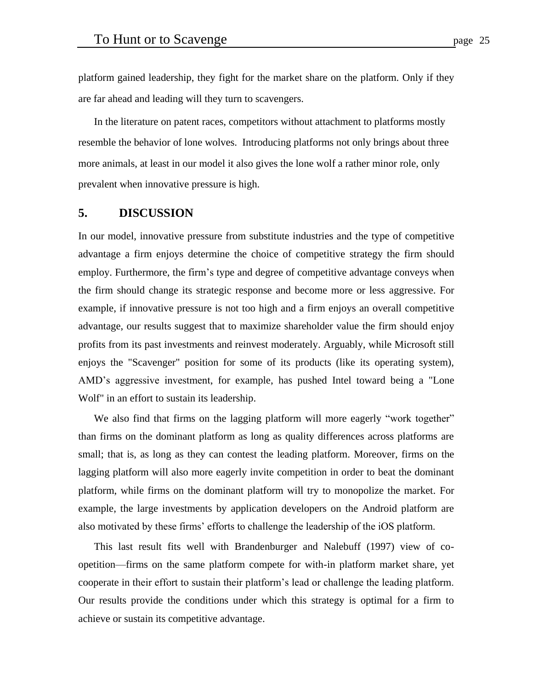platform gained leadership, they fight for the market share on the platform. Only if they are far ahead and leading will they turn to scavengers.

In the literature on patent races, competitors without attachment to platforms mostly resemble the behavior of lone wolves. Introducing platforms not only brings about three more animals, at least in our model it also gives the lone wolf a rather minor role, only prevalent when innovative pressure is high.

# **5. DISCUSSION**

In our model, innovative pressure from substitute industries and the type of competitive advantage a firm enjoys determine the choice of competitive strategy the firm should employ. Furthermore, the firm's type and degree of competitive advantage conveys when the firm should change its strategic response and become more or less aggressive. For example, if innovative pressure is not too high and a firm enjoys an overall competitive advantage, our results suggest that to maximize shareholder value the firm should enjoy profits from its past investments and reinvest moderately. Arguably, while Microsoft still enjoys the "Scavenger" position for some of its products (like its operating system), AMD's aggressive investment, for example, has pushed Intel toward being a "Lone Wolf" in an effort to sustain its leadership.

We also find that firms on the lagging platform will more eagerly "work together" than firms on the dominant platform as long as quality differences across platforms are small; that is, as long as they can contest the leading platform. Moreover, firms on the lagging platform will also more eagerly invite competition in order to beat the dominant platform, while firms on the dominant platform will try to monopolize the market. For example, the large investments by application developers on the Android platform are also motivated by these firms' efforts to challenge the leadership of the iOS platform.

This last result fits well with Brandenburger and Nalebuff (1997) view of coopetition—firms on the same platform compete for with-in platform market share, yet cooperate in their effort to sustain their platform's lead or challenge the leading platform. Our results provide the conditions under which this strategy is optimal for a firm to achieve or sustain its competitive advantage.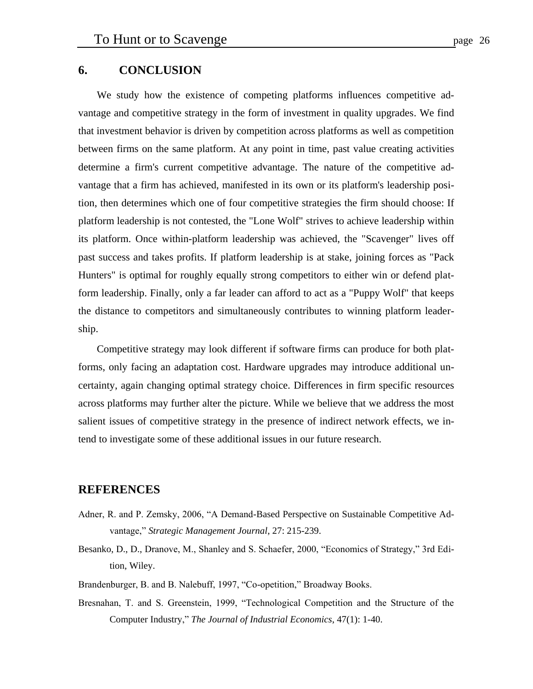# **6. CONCLUSION**

We study how the existence of competing platforms influences competitive advantage and competitive strategy in the form of investment in quality upgrades. We find that investment behavior is driven by competition across platforms as well as competition between firms on the same platform. At any point in time, past value creating activities determine a firm's current competitive advantage. The nature of the competitive advantage that a firm has achieved, manifested in its own or its platform's leadership position, then determines which one of four competitive strategies the firm should choose: If platform leadership is not contested, the "Lone Wolf" strives to achieve leadership within its platform. Once within-platform leadership was achieved, the "Scavenger" lives off past success and takes profits. If platform leadership is at stake, joining forces as "Pack Hunters" is optimal for roughly equally strong competitors to either win or defend platform leadership. Finally, only a far leader can afford to act as a "Puppy Wolf" that keeps the distance to competitors and simultaneously contributes to winning platform leadership.

Competitive strategy may look different if software firms can produce for both platforms, only facing an adaptation cost. Hardware upgrades may introduce additional uncertainty, again changing optimal strategy choice. Differences in firm specific resources across platforms may further alter the picture. While we believe that we address the most salient issues of competitive strategy in the presence of indirect network effects, we intend to investigate some of these additional issues in our future research.

## **REFERENCES**

- Adner, R. and P. Zemsky, 2006, "A Demand-Based Perspective on Sustainable Competitive Advantage," *Strategic Management Journal*, 27: 215-239.
- Besanko, D., D., Dranove, M., Shanley and S. Schaefer, 2000, "Economics of Strategy," 3rd Edition, Wiley.
- Brandenburger, B. and B. Nalebuff, 1997, "Co-opetition," Broadway Books.
- Bresnahan, T. and S. Greenstein, 1999, "Technological Competition and the Structure of the Computer Industry," *[The Journal of Industrial Economics](http://www.stern.nyu.edu/~jindec/)*, 47(1): 1-40.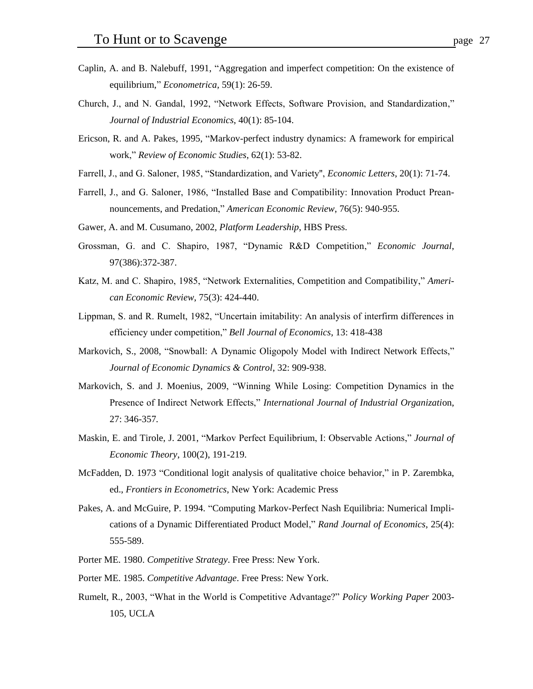- Caplin, A. and B. Nalebuff, 1991, "Aggregation and imperfect competition: On the existence of equilibrium," *Econometrica,* 59(1): 26-59.
- Church, J., and N. Gandal, 1992, "Network Effects, Software Provision, and Standardization," *Journal of Industrial Economics*, 40(1): 85-104.
- Ericson, R. and A. Pakes, 1995, "Markov-perfect industry dynamics: A framework for empirical work," *Review of Economic Studies*, 62(1): 53-82.
- Farrell, J., and G. Saloner, 1985, "Standardization, and Variety'', *Economic Letters*, 20(1): 71-74.
- Farrell, J., and G. Saloner, 1986, "Installed Base and Compatibility: Innovation Product Preannouncements, and Predation," *American Economic Review*, 76(5): 940-955.
- Gawer, A. and M. Cusumano, 2002, *Platform Leadership*, HBS Press.
- Grossman, G. and C. Shapiro, 1987, "Dynamic R&D Competition," *Economic Journal*, 97(386):372-387.
- Katz, M. and C. Shapiro, 1985, "Network Externalities, Competition and Compatibility," *American Economic Review*, 75(3): 424-440.
- Lippman, S. and R. Rumelt, 1982, "Uncertain imitability: An analysis of interfirm differences in efficiency under competition," *Bell Journal of Economics*, 13: 418-438
- Markovich, S., 2008, "Snowball: A Dynamic Oligopoly Model with Indirect Network Effects," *Journal of Economic Dynamics & Control*, 32: 909-938.
- Markovich, S. and J. Moenius, 2009, "Winning While Losing: Competition Dynamics in the Presence of Indirect Network Effects," *International Journal of Industrial Organizati*on, 27: 346-357*.*
- Maskin, E. and Tirole, J. 2001, "Markov Perfect Equilibrium, I: Observable Actions," *Journal of Economic Theory*, 100(2), 191-219.
- McFadden, D. 1973 "Conditional logit analysis of qualitative choice behavior," in P. Zarembka, ed., *Frontiers in Econometrics*, New York: Academic Press
- Pakes, A. and McGuire, P. 1994. "Computing Markov-Perfect Nash Equilibria: Numerical Implications of a Dynamic Differentiated Product Model," *Rand Journal of Economics*, 25(4): 555-589.
- Porter ME. 1980. *Competitive Strategy*. Free Press: New York.
- Porter ME. 1985. *Competitive Advantage*. Free Press: New York.
- Rumelt, R., 2003, "What in the World is Competitive Advantage?" *Policy Working Paper* 2003- 105, UCLA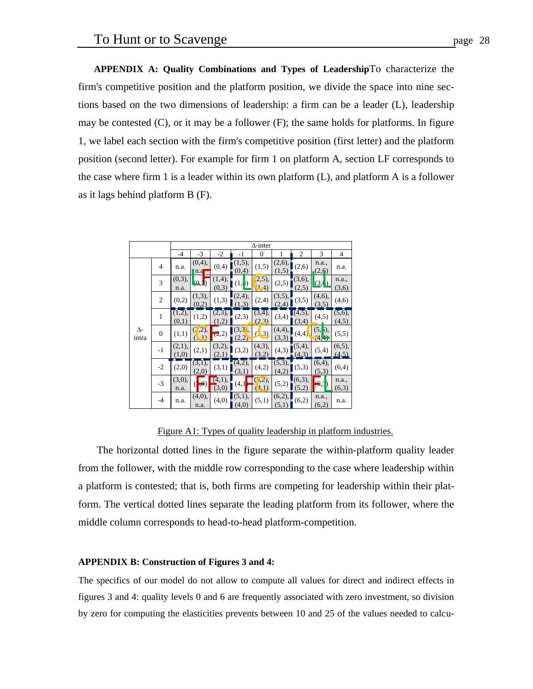**APPENDIX A: Quality Combinations and Types of Leadership**To characterize the firm's competitive position and the platform position, we divide the space into nine sections based on the two dimensions of leadership: a firm can be a leader (L), leadership may be contested  $(C)$ , or it may be a follower  $(F)$ ; the same holds for platforms. In figure 1, we label each section with the firm's competitive position (first letter) and the platform position (second letter). For example for firm 1 on platform A, section LF corresponds to the case where firm 1 is a leader within its own platform (L), and platform A is a follower as it lags behind platform B (F).

|                     | $\Delta$ -inter |                 |                 |                           |                               |                                |                 |                    |                                        |                    |
|---------------------|-----------------|-----------------|-----------------|---------------------------|-------------------------------|--------------------------------|-----------------|--------------------|----------------------------------------|--------------------|
|                     |                 |                 |                 |                           |                               |                                |                 |                    |                                        |                    |
|                     |                 | $-4$            | $-3$            | $-2$                      | $-1$                          | $\theta$                       | 1               | $\mathfrak{2}$     | 3                                      | $\overline{4}$     |
| $\Delta$ -<br>intra | 4               | n.a.            | (0,4),<br>n.a   | (0,4)                     | (1,5),<br>(0,4)               | (1,5)                          | (2,6),<br>(1,5) | (2,6)              | n.a.,<br>(2,6)                         | n.a.               |
|                     | 3               | (0,3),<br>n.a.  | (0,1)           | (1,4),<br>(0,3)           | (1, 1)                        | (2,5),<br>(1,4)                | (2,5)           | (3,6),<br>(2,5)    | (3, 0)                                 | n.a.,<br>(3,6)     |
|                     | 2               | (0,2)           | (1,3),<br>(0,2) | (1,3)                     | (2,4),<br>(1,3)               | (2,4)                          | (3,5),<br>(2,4) | (3,5)              | (4,6),<br>(3,5)                        | (4,6)              |
|                     | $\mathbf{1}$    | (1,2),<br>(0,1) | (1,2)           | $\sqrt{(2,3)}$ ,<br>(1,2) | (2,3)                         | $(\overline{3,4})$ ,<br>(2, 3) | (3,4)           | $(4,5)$ ,<br>(3,4) | (4,5)                                  | $(5,6)$ ,<br>(4,5) |
|                     | $\mathbf{0}$    | (1,1)           | (7,2),<br>(1)   | (2,2)                     | (3,3)<br>(2,2)                | $\left(3\right)$               | (4,4),<br>(3,3) | (4,4)              | $(5, 5)$ ,<br>$\overline{A}$<br>(4, 4) | (5,5)              |
|                     | $-1$            | (2,1),<br>(1,0) | (2,1)           | (3,2),<br>(2,1)           | (3,2)                         | (4,3),<br>(3.2)                | (4,3)           | (5,4),<br>(4.3)    | (5,4)                                  | $(6,5)$ ,<br>(4,5) |
|                     | $-2$            | (2,0)           | (3,1),<br>(2,0) | (3,1)                     | $\overline{(4,2)}$ ,<br>(3,1) | (4,2)                          | (5,3),<br>(4,2) | (5,3)              | (6,4),<br>(5,3)                        | (6,4)              |
|                     | $-3$            | (3,0),<br>n.a.  | $\ket{\Theta}$  | (4,1),<br>(3,0)           | (4,1)                         | (7,2),<br>(1,1)                | (5,2)           | (6,3),<br>(5,2)    | (6,3)                                  | n.a.,<br>(6,3)     |
|                     | $-4$            | n.a.            | (4,0),<br>n.a.  | (4,0)                     | (5,1),<br>(4,0)               | (5,1)                          | (6,2),<br>(5,1) | (6,2)              | n.a.,<br>(6,2)                         | n.a.               |

Figure A1: Types of quality leadership in platform industries.

The horizontal dotted lines in the figure separate the within-platform quality leader from the follower, with the middle row corresponding to the case where leadership within a platform is contested; that is, both firms are competing for leadership within their platform. The vertical dotted lines separate the leading platform from its follower, where the middle column corresponds to head-to-head platform-competition.

## **APPENDIX B: Construction of Figures 3 and 4:**

The specifics of our model do not allow to compute all values for direct and indirect effects in figures 3 and 4: quality levels 0 and 6 are frequently associated with zero investment, so division by zero for computing the elasticities prevents between 10 and 25 of the values needed to calcu